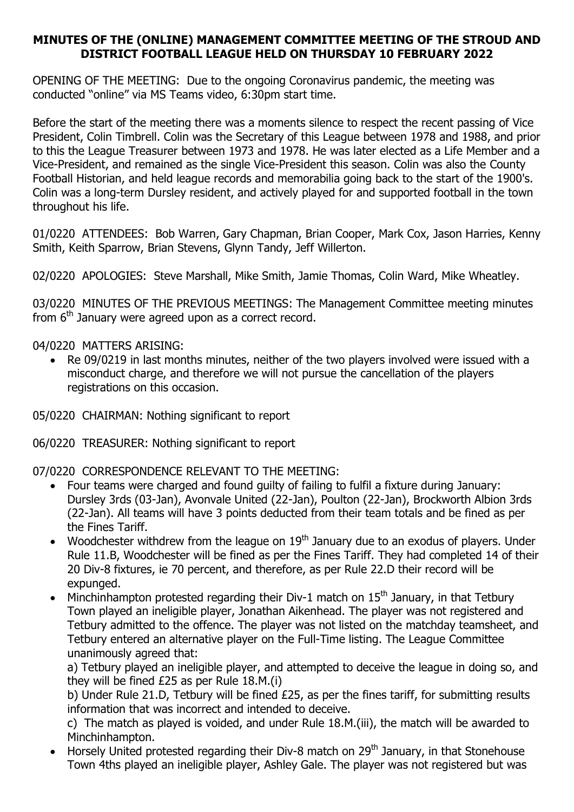## MINUTES OF THE (ONLINE) MANAGEMENT COMMITTEE MEETING OF THE STROUD AND DISTRICT FOOTBALL LEAGUE HELD ON THURSDAY 10 FEBRUARY 2022

OPENING OF THE MEETING: Due to the ongoing Coronavirus pandemic, the meeting was conducted "online" via MS Teams video, 6:30pm start time.

Before the start of the meeting there was a moments silence to respect the recent passing of Vice President, Colin Timbrell. Colin was the Secretary of this League between 1978 and 1988, and prior to this the League Treasurer between 1973 and 1978. He was later elected as a Life Member and a Vice-President, and remained as the single Vice-President this season. Colin was also the County Football Historian, and held league records and memorabilia going back to the start of the 1900's. Colin was a long-term Dursley resident, and actively played for and supported football in the town throughout his life.

01/0220 ATTENDEES: Bob Warren, Gary Chapman, Brian Cooper, Mark Cox, Jason Harries, Kenny Smith, Keith Sparrow, Brian Stevens, Glynn Tandy, Jeff Willerton.

02/0220 APOLOGIES: Steve Marshall, Mike Smith, Jamie Thomas, Colin Ward, Mike Wheatley.

03/0220 MINUTES OF THE PREVIOUS MEETINGS: The Management Committee meeting minutes from  $6<sup>th</sup>$  January were agreed upon as a correct record.

04/0220 MATTERS ARISING:

- Re 09/0219 in last months minutes, neither of the two players involved were issued with a misconduct charge, and therefore we will not pursue the cancellation of the players registrations on this occasion.
- 05/0220 CHAIRMAN: Nothing significant to report

06/0220 TREASURER: Nothing significant to report

07/0220 CORRESPONDENCE RELEVANT TO THE MEETING:

- Four teams were charged and found guilty of failing to fulfil a fixture during January: Dursley 3rds (03-Jan), Avonvale United (22-Jan), Poulton (22-Jan), Brockworth Albion 3rds (22-Jan). All teams will have 3 points deducted from their team totals and be fined as per the Fines Tariff.
- Woodchester withdrew from the league on  $19<sup>th</sup>$  January due to an exodus of players. Under Rule 11.B, Woodchester will be fined as per the Fines Tariff. They had completed 14 of their 20 Div-8 fixtures, ie 70 percent, and therefore, as per Rule 22.D their record will be expunged.
- $\bullet$  Minchinhampton protested regarding their Div-1 match on 15<sup>th</sup> January, in that Tetbury Town played an ineligible player, Jonathan Aikenhead. The player was not registered and Tetbury admitted to the offence. The player was not listed on the matchday teamsheet, and Tetbury entered an alternative player on the Full-Time listing. The League Committee unanimously agreed that:

a) Tetbury played an ineligible player, and attempted to deceive the league in doing so, and they will be fined £25 as per Rule 18.M.(i)

b) Under Rule 21.D, Tetbury will be fined £25, as per the fines tariff, for submitting results information that was incorrect and intended to deceive.

c) The match as played is voided, and under Rule 18.M.(iii), the match will be awarded to Minchinhampton.

 $\bullet$  Horsely United protested regarding their Div-8 match on 29<sup>th</sup> January, in that Stonehouse Town 4ths played an ineligible player, Ashley Gale. The player was not registered but was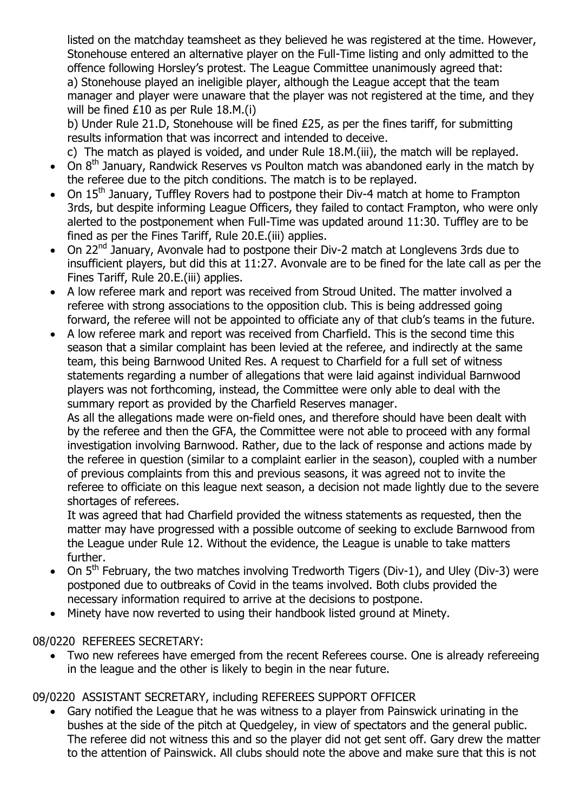listed on the matchday teamsheet as they believed he was registered at the time. However, Stonehouse entered an alternative player on the Full-Time listing and only admitted to the offence following Horsley's protest. The League Committee unanimously agreed that: a) Stonehouse played an ineligible player, although the League accept that the team manager and player were unaware that the player was not registered at the time, and they will be fined £10 as per Rule 18.M.(i)

b) Under Rule 21.D, Stonehouse will be fined £25, as per the fines tariff, for submitting results information that was incorrect and intended to deceive.

c) The match as played is voided, and under Rule 18.M.(iii), the match will be replayed.

- $\bullet$  On  $8<sup>th</sup>$  January, Randwick Reserves vs Poulton match was abandoned early in the match by the referee due to the pitch conditions. The match is to be replayed.
- On 15<sup>th</sup> January, Tuffley Rovers had to postpone their Div-4 match at home to Frampton 3rds, but despite informing League Officers, they failed to contact Frampton, who were only alerted to the postponement when Full-Time was updated around 11:30. Tuffley are to be fined as per the Fines Tariff, Rule 20.E.(iii) applies.
- On 22nd January, Avonvale had to postpone their Div-2 match at Longlevens 3rds due to insufficient players, but did this at 11:27. Avonvale are to be fined for the late call as per the Fines Tariff, Rule 20.E.(iii) applies.
- A low referee mark and report was received from Stroud United. The matter involved a referee with strong associations to the opposition club. This is being addressed going forward, the referee will not be appointed to officiate any of that club's teams in the future.
- A low referee mark and report was received from Charfield. This is the second time this season that a similar complaint has been levied at the referee, and indirectly at the same team, this being Barnwood United Res. A request to Charfield for a full set of witness statements regarding a number of allegations that were laid against individual Barnwood players was not forthcoming, instead, the Committee were only able to deal with the summary report as provided by the Charfield Reserves manager.

As all the allegations made were on-field ones, and therefore should have been dealt with by the referee and then the GFA, the Committee were not able to proceed with any formal investigation involving Barnwood. Rather, due to the lack of response and actions made by the referee in question (similar to a complaint earlier in the season), coupled with a number of previous complaints from this and previous seasons, it was agreed not to invite the referee to officiate on this league next season, a decision not made lightly due to the severe shortages of referees.

It was agreed that had Charfield provided the witness statements as requested, then the matter may have progressed with a possible outcome of seeking to exclude Barnwood from the League under Rule 12. Without the evidence, the League is unable to take matters further.

- On  $5<sup>th</sup>$  February, the two matches involving Tredworth Tigers (Div-1), and Uley (Div-3) were postponed due to outbreaks of Covid in the teams involved. Both clubs provided the necessary information required to arrive at the decisions to postpone.
- Minety have now reverted to using their handbook listed ground at Minety.

## 08/0220 REFEREES SECRETARY:

 Two new referees have emerged from the recent Referees course. One is already refereeing in the league and the other is likely to begin in the near future.

## 09/0220 ASSISTANT SECRETARY, including REFEREES SUPPORT OFFICER

 Gary notified the League that he was witness to a player from Painswick urinating in the bushes at the side of the pitch at Quedgeley, in view of spectators and the general public. The referee did not witness this and so the player did not get sent off. Gary drew the matter to the attention of Painswick. All clubs should note the above and make sure that this is not